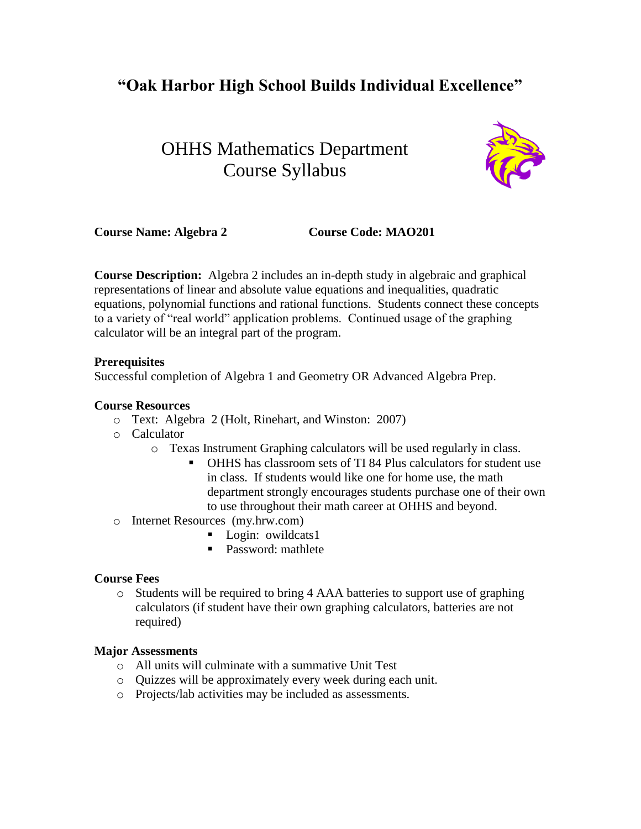# **"Oak Harbor High School Builds Individual Excellence"**

# OHHS Mathematics Department Course Syllabus



**Course Name: Algebra 2 Course Code: MAO201**

**Course Description:** Algebra 2 includes an in-depth study in algebraic and graphical representations of linear and absolute value equations and inequalities, quadratic equations, polynomial functions and rational functions. Students connect these concepts to a variety of "real world" application problems. Continued usage of the graphing calculator will be an integral part of the program.

### **Prerequisites**

Successful completion of Algebra 1 and Geometry OR Advanced Algebra Prep.

### **Course Resources**

- o Text: Algebra 2 (Holt, Rinehart, and Winston: 2007)
- o Calculator
	- o Texas Instrument Graphing calculators will be used regularly in class.
		- OHHS has classroom sets of TI 84 Plus calculators for student use in class. If students would like one for home use, the math department strongly encourages students purchase one of their own to use throughout their math career at OHHS and beyond.
- o Internet Resources (my.hrw.com)
	- **Login:** owildcats1
	- **Password:** mathlete

# **Course Fees**

o Students will be required to bring 4 AAA batteries to support use of graphing calculators (if student have their own graphing calculators, batteries are not required)

#### **Major Assessments**

- o All units will culminate with a summative Unit Test
- o Quizzes will be approximately every week during each unit.
- o Projects/lab activities may be included as assessments.